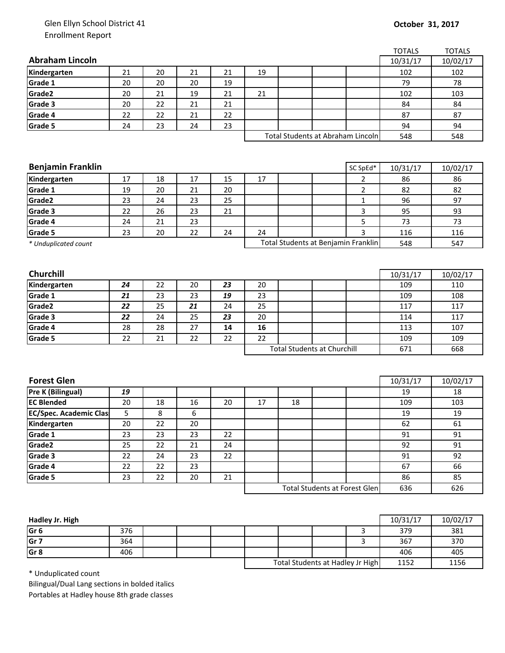## Glen Ellyn School District 41 Enrollment Report

|                                               |          |          |          |    |                                   |    |                                      |                | <b>TOTALS</b> | <b>TOTALS</b> |
|-----------------------------------------------|----------|----------|----------|----|-----------------------------------|----|--------------------------------------|----------------|---------------|---------------|
| <b>Abraham Lincoln</b>                        |          |          |          |    |                                   |    |                                      |                | 10/31/17      | 10/02/17      |
| Kindergarten                                  | 21       | 20       | 21       | 21 | 19                                |    |                                      |                | 102           | 102           |
| Grade 1                                       | 20       | 20       | 20       | 19 |                                   |    |                                      |                | 79            | 78            |
| Grade2                                        | 20       | 21       | 19       | 21 | 21                                |    |                                      |                | 102           | 103           |
| Grade 3                                       | 20       | 22       | 21       | 21 |                                   |    |                                      |                | 84            | 84            |
| Grade 4                                       | 22       | 22       | 21       | 22 |                                   |    |                                      |                | 87            | 87            |
| Grade 5                                       | 24       | 23       | 24       | 23 |                                   |    |                                      |                | 94            | 94            |
|                                               |          |          |          |    | Total Students at Abraham Lincoln |    |                                      |                | 548           | 548           |
|                                               |          |          |          |    |                                   |    |                                      |                |               |               |
|                                               |          |          |          |    |                                   |    |                                      |                |               |               |
| <b>Benjamin Franklin</b>                      |          |          |          |    |                                   |    |                                      | SC SpEd*       | 10/31/17      | 10/02/17      |
| Kindergarten                                  | 17       | 18       | 17       | 15 | 17                                |    |                                      | $\overline{2}$ | 86            | 86            |
| Grade 1                                       | 19       | 20       | 21       | 20 |                                   |    |                                      | $\overline{2}$ | 82            | 82            |
| Grade2                                        | 23       | 24       | 23       | 25 |                                   |    |                                      | $\mathbf{1}$   | 96            | 97            |
| Grade 3                                       | 22       | 26       | 23       | 21 |                                   |    |                                      | 3              | 95            | 93            |
| Grade 4                                       | 24       | 21       | 23       |    |                                   |    |                                      | 5              | 73            | 73            |
| Grade 5                                       | 23       | 20       | 22       | 24 | 24                                |    |                                      | 3              | 116           | 116           |
| * Unduplicated count                          |          |          |          |    |                                   |    | Total Students at Benjamin Franklin  |                | 548           | 547           |
|                                               |          |          |          |    |                                   |    |                                      |                |               |               |
|                                               |          |          |          |    |                                   |    |                                      |                |               |               |
| Churchill                                     |          |          |          |    |                                   |    |                                      |                | 10/31/17      | 10/02/17      |
| Kindergarten                                  | 24       | 22       | 20       | 23 | 20                                |    |                                      |                | 109           | 110           |
| Grade 1                                       | 21       | 23       | 23       | 19 | 23                                |    |                                      |                | 109           | 108           |
| Grade2                                        | 22       | 25       | 21       | 24 | 25                                |    |                                      |                | 117           | 117           |
| Grade 3                                       | 22       | 24       | 25       | 23 | 20                                |    |                                      |                | 114           | 117           |
| Grade 4                                       | 28       | 28       | 27       | 14 | 16                                |    |                                      |                | 113           | 107           |
| Grade 5                                       | 22       | 21       | 22       | 22 | 22                                |    |                                      |                | 109           | 109           |
|                                               |          |          |          |    |                                   |    | <b>Total Students at Churchill</b>   |                | 671           | 668           |
|                                               |          |          |          |    |                                   |    |                                      |                |               |               |
| <b>Forest Glen</b>                            |          |          |          |    |                                   |    |                                      |                | 10/31/17      | 10/02/17      |
| Pre K (Bilingual)                             | 19       |          |          |    |                                   |    |                                      |                | 19            | 18            |
| <b>EC Blended</b>                             | 20       | 18       | 16       | 20 | 17                                | 18 |                                      |                | 109           | 103           |
|                                               | 5        | 8        | 6        |    |                                   |    |                                      |                | 19            | 19            |
| <b>EC/Spec. Academic Clas</b><br>Kindergarten | 20       | 22       | 20       |    |                                   |    |                                      |                | 62            | 61            |
| Grade 1                                       | 23       | 23       | 23       | 22 |                                   |    |                                      |                | 91            | 91            |
| Grade2                                        | 25       | 22       | 21       | 24 |                                   |    |                                      |                | 92            | 91            |
| Grade 3                                       | 22       | 24       | 23       | 22 |                                   |    |                                      |                | 91            | 92            |
|                                               |          |          |          |    |                                   |    |                                      |                | 67            | 66            |
| Grade 4<br>Grade 5                            | 22<br>23 | 22<br>22 | 23<br>20 | 21 |                                   |    |                                      |                |               | 85            |
|                                               |          |          |          |    |                                   |    |                                      |                | 86            | 626           |
|                                               |          |          |          |    |                                   |    | <b>Total Students at Forest Glen</b> |                | 636           |               |
|                                               |          |          |          |    |                                   |    |                                      |                |               |               |

| Hadley Jr. High |     |  |                                  |  |      | 10/31/17 | 10/02/17 |
|-----------------|-----|--|----------------------------------|--|------|----------|----------|
| Gr 6            | 376 |  |                                  |  |      | 379      | 381      |
| Gr 7            | 364 |  |                                  |  |      | 367      | 370      |
| Gr 8            | 406 |  |                                  |  |      | 406      | 405      |
|                 |     |  | Total Students at Hadley Jr High |  | 1152 | 1156     |          |

\* Unduplicated count

Bilingual/Dual Lang sections in bolded italics Portables at Hadley house 8th grade classes